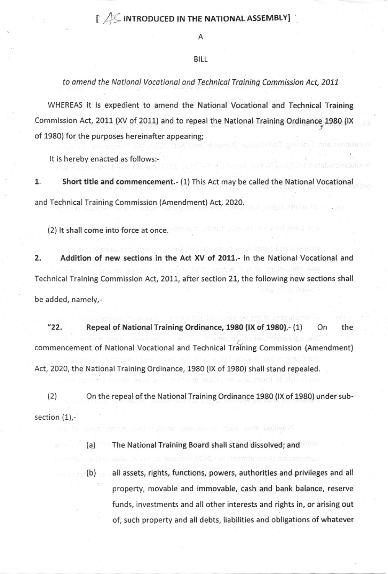## $\Gamma$  / $\ll$  INTRODUCED IN THE NATIONAL ASSEMBLY]

A

## BILL

to amend the National Vocational and Technical Training Commission Act, 2011

WHEREAS it is expedient to amend the National Vocational and Technical Training Commission Act, 2011 (XV of 2011) and to repeal the National Training Ordinance 1980 (IX of 1980) for the purposes hereinafter appearing;

It is hereby enacted as follows;-

1. Short title and commencement.- (1) This Act may be called the National Vocational and Technical Training Commission (Amendment) Act, 2020.

(2) lt shall come into force at once.

2. Addition of new sections in the Act XV of 2011.- In the National Vocational and Technical Training Commission Act, 2011, after section 21, the following new sections shall be added, namely,-

"22. Repeal of National Training Ordinance,  $1980$  (IX of  $1980$ ),- $(1)$  On the commencement of National Vocational and Technical Training Commission (Amendment) Act, 2020, the National Training Ordinance, 1980 (lX of 198O) shall stand repealed.

(2) On the repeal ofthe NationalTraining Ordinance 1980 (lX of 1980) under subsection  $(1)$ .

(a) The National Training Board shall stand dissolved; and

all assets, rights, functions, powers, authorities and privileges and all property, movable and immovable, cash and bank balance, reserve funds, investments and all other interests and rights in, or arising out of, such property and all debts, liabilities and obligations of whatever (b)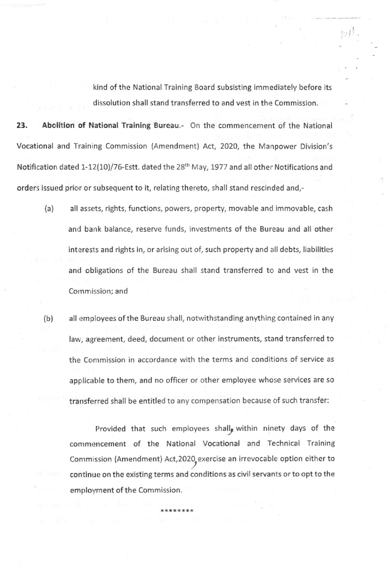kind of the National Training Board subsisting immediately before its dissolution shall stand transferred to and vest in the Commission.

 $pi$ 

23. Abolition of National Training Bureau.- On the commencement of the National Vocational and Training Commission (Amendment) Act, 2020, the Manpower Division's Notification dated 1-12(10)/76-Estt. dated the 28<sup>th</sup> May, 1977 and all other Notifications and orders issued prior or subsequent to it, relating thereto, shall stand rescinded and,-

- (a) all assets, rights, functions, powers, property, movable and immovable, cash and bank balance, reserve funds, investments of the Bureau and all other interests and rights in, or arising out of, such property and all debts, liabilities and obligations of the Bureau shall stand transferred to and vest in the Commission; and
- (b) all employees ofthe Bureau shall, notwithstanding anything contained in any law, agreement, deed, document or other instruments, stand transferred to the Commission in accordance with the terms and conditions of service as applicable to them, and no officer or other employee whose services are so transferred shall be entitled to any compensation because of such transfer:

Provided that such employees shall<sub>g</sub> within ninety days of the commencement of the National Vocational and Technical Training Commission (Amendment) Act,2020, exercise an irrevocable option either to continue on the existing terms and conditions as civil servants or to opt to the employment of the Commission.

\*\*\*\*\*\*\*\*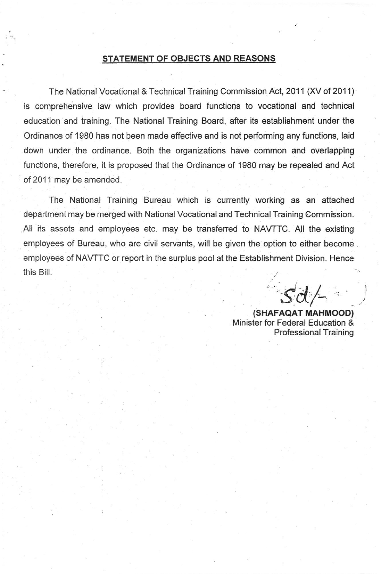## STATEMENT OF OBJECTS AND REASONS

The National Vocational & Technical Training Commission Act, 2011 (XV of 2011) is comprehensive law which provides board functions to vocational and technical education and training. The National Training Board, after its establishment under the Ordinance of 1980 has not been made effective and is not performing any functions, laid down under the ordinance Both the organizations have common and overlapping functions, therefore, it is proposed that the Ordinance of 1980 may be repealed and Act of 2011 may be amended.

The National Training Bureau which is currently working as an attached department may be merged with National Vocational and Technical Training Commlssion. All its assets and employees etc. may be transferred to NAVTTC. All the existing employees of Bureau, who are civil servants, will be given the option to either become employees of NAVTTC or report in the surplus pool at the Establishment Division. Hence this Bill.

 $sdA$ 

'

- (SHAFAQAT MAHMOOD) Minister for Federal Education & Professional Training